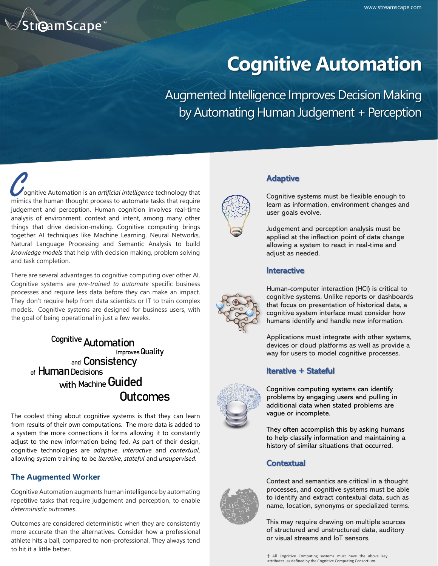

# **Cognitive Automation**

Augmented Intelligence Improves Decision Making by Automating Human Judgement + Perception

**COMILITY CONTINUITY**<br> **COMILITY CONTINUITY CONTINUITY CONTINUITY**<br> **COMILITY CONTINUITY CONTINUITY CONTINUITY**<br> **COMILITY CONTINUITY CONTINUITY CONTINUITY**<br> **COMILITY CONTINUITY CONTINUITY CONTINUITY**<br> **CONTINUITY CONTINU**  ognitive Automation is an *artificial intelligence* technology that judgement and perception. Human cognition involves real-time analysis of environment, context and intent, among many other things that drive decision-making. Cognitive computing brings together AI techniques like Machine Learning, Neural Networks, Natural Language Processing and Semantic Analysis to build *knowledge models* that help with decision making, problem solving and task completion.

There are several advantages to cognitive computing over other AI. Cognitive systems are *pre-trained to automate* specific business processes and require less data before they can make an impact. They don't require help from data scientists or IT to train complex models. Cognitive systems are designed for business users, with the goal of being operational in just a few weeks.

> <sup>Cognitive</sup> Automation Improves Quality and Consistency of Human Decisions with Machine Guided **Outcomes**

The coolest thing about cognitive systems is that they can learn from results of their own computations. The more data is added to a system the more connections it forms allowing it to constantly adjust to the new information being fed. As part of their design, cognitive technologies are *adaptive*, *interactive* and *contextual*, allowing system training to be *iterative*, *stateful* and *unsupervised*.

# **The Augmented Worker**

Cognitive Automation augments human intelligence by automating repetitive tasks that require judgement and perception, to enable *deterministic outcomes*.

Outcomes are considered deterministic when they are consistently more accurate than the alternatives. Consider how a professional athlete hits a ball, compared to non-professional. They always tend to hit it a little better.



# Adaptive

Cognitive systems must be flexible enough to learn as information, environment changes and user goals evolve.

Judgement and perception analysis must be applied at the inflection point of data change allowing a system to react in real-time and adjust as needed.

## **Interactive**



Human-computer interaction (HCI) is critical to cognitive systems. Unlike reports or dashboards that focus on presentation of historical data, a cognitive system interface must consider how humans identify and handle new information.

Applications must integrate with other systems, devices or cloud platforms as well as provide a way for users to model cognitive processes.

## Iterative + Stateful



Cognitive computing systems can identify problems by engaging users and pulling in additional data when stated problems are vague or incomplete.

They often accomplish this by asking humans to help classify information and maintaining a history of similar situations that occurred.

# **Contextual**



Context and semantics are critical in a thought processes, and cognitive systems must be able to identify and extract contextual data, such as name, location, synonyms or specialized terms.

This may require drawing on multiple sources of structured and unstructured data, auditory or visual streams and IoT sensors.

† All Cognitive Computing systems must have the above key attributes, as defined by the Cognitive Computing Consortium.